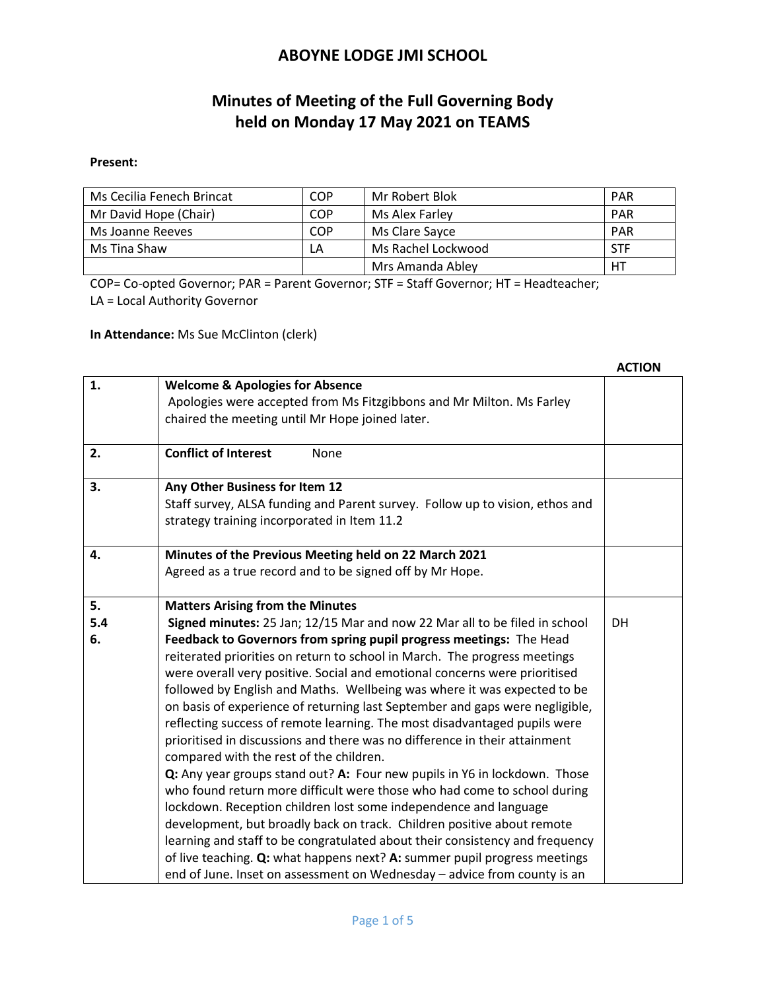# **Minutes of Meeting of the Full Governing Body held on Monday 17 May 2021 on TEAMS**

#### **Present:**

| Ms Cecilia Fenech Brincat | COP | Mr Robert Blok     | <b>PAR</b> |
|---------------------------|-----|--------------------|------------|
| Mr David Hope (Chair)     | COP | Ms Alex Farley     | <b>PAR</b> |
| Ms Joanne Reeves          | COP | Ms Clare Savce     | <b>PAR</b> |
| Ms Tina Shaw              | LA  | Ms Rachel Lockwood | STF        |
|                           |     | Mrs Amanda Abley   | HT         |

COP= Co-opted Governor; PAR = Parent Governor; STF = Staff Governor; HT = Headteacher; LA = Local Authority Governor

**In Attendance:** Ms Sue McClinton (clerk)

|     |                                                                              | AUTIUN |
|-----|------------------------------------------------------------------------------|--------|
| 1.  | <b>Welcome &amp; Apologies for Absence</b>                                   |        |
|     | Apologies were accepted from Ms Fitzgibbons and Mr Milton. Ms Farley         |        |
|     | chaired the meeting until Mr Hope joined later.                              |        |
|     |                                                                              |        |
| 2.  | <b>Conflict of Interest</b><br>None                                          |        |
|     |                                                                              |        |
| 3.  | Any Other Business for Item 12                                               |        |
|     | Staff survey, ALSA funding and Parent survey. Follow up to vision, ethos and |        |
|     | strategy training incorporated in Item 11.2                                  |        |
|     |                                                                              |        |
| 4.  | Minutes of the Previous Meeting held on 22 March 2021                        |        |
|     | Agreed as a true record and to be signed off by Mr Hope.                     |        |
|     |                                                                              |        |
| 5.  | <b>Matters Arising from the Minutes</b>                                      |        |
| 5.4 | Signed minutes: 25 Jan; 12/15 Mar and now 22 Mar all to be filed in school   | DH     |
| 6.  | Feedback to Governors from spring pupil progress meetings: The Head          |        |
|     | reiterated priorities on return to school in March. The progress meetings    |        |
|     | were overall very positive. Social and emotional concerns were prioritised   |        |
|     | followed by English and Maths. Wellbeing was where it was expected to be     |        |
|     | on basis of experience of returning last September and gaps were negligible, |        |
|     | reflecting success of remote learning. The most disadvantaged pupils were    |        |
|     | prioritised in discussions and there was no difference in their attainment   |        |
|     | compared with the rest of the children.                                      |        |
|     | Q: Any year groups stand out? A: Four new pupils in Y6 in lockdown. Those    |        |
|     | who found return more difficult were those who had come to school during     |        |
|     | lockdown. Reception children lost some independence and language             |        |
|     | development, but broadly back on track. Children positive about remote       |        |
|     | learning and staff to be congratulated about their consistency and frequency |        |
|     | of live teaching. Q: what happens next? A: summer pupil progress meetings    |        |
|     | end of June. Inset on assessment on Wednesday - advice from county is an     |        |

# **ACTION**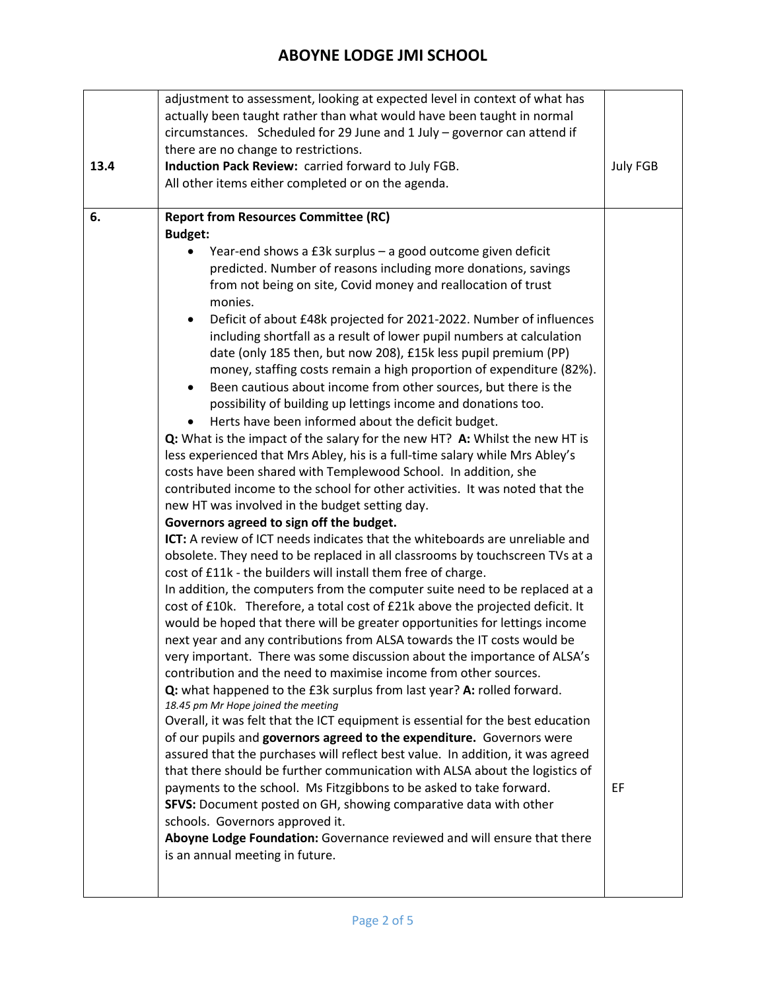|      | adjustment to assessment, looking at expected level in context of what has                                    |                 |  |  |
|------|---------------------------------------------------------------------------------------------------------------|-----------------|--|--|
|      | actually been taught rather than what would have been taught in normal                                        |                 |  |  |
|      | circumstances. Scheduled for 29 June and 1 July - governor can attend if                                      |                 |  |  |
|      | there are no change to restrictions.                                                                          |                 |  |  |
| 13.4 | Induction Pack Review: carried forward to July FGB.                                                           | <b>July FGB</b> |  |  |
|      | All other items either completed or on the agenda.                                                            |                 |  |  |
|      |                                                                                                               |                 |  |  |
| 6.   | <b>Report from Resources Committee (RC)</b>                                                                   |                 |  |  |
|      | <b>Budget:</b>                                                                                                |                 |  |  |
|      | Year-end shows a £3k surplus - a good outcome given deficit                                                   |                 |  |  |
|      | predicted. Number of reasons including more donations, savings                                                |                 |  |  |
|      | from not being on site, Covid money and reallocation of trust                                                 |                 |  |  |
|      | monies.                                                                                                       |                 |  |  |
|      | Deficit of about £48k projected for 2021-2022. Number of influences<br>٠                                      |                 |  |  |
|      | including shortfall as a result of lower pupil numbers at calculation                                         |                 |  |  |
|      | date (only 185 then, but now 208), £15k less pupil premium (PP)                                               |                 |  |  |
|      | money, staffing costs remain a high proportion of expenditure (82%).                                          |                 |  |  |
|      | Been cautious about income from other sources, but there is the<br>٠                                          |                 |  |  |
|      | possibility of building up lettings income and donations too.                                                 |                 |  |  |
|      | Herts have been informed about the deficit budget.                                                            |                 |  |  |
|      | Q: What is the impact of the salary for the new HT? A: Whilst the new HT is                                   |                 |  |  |
|      | less experienced that Mrs Abley, his is a full-time salary while Mrs Abley's                                  |                 |  |  |
|      | costs have been shared with Templewood School. In addition, she                                               |                 |  |  |
|      | contributed income to the school for other activities. It was noted that the                                  |                 |  |  |
|      | new HT was involved in the budget setting day.                                                                |                 |  |  |
|      | Governors agreed to sign off the budget.                                                                      |                 |  |  |
|      | <b>ICT:</b> A review of ICT needs indicates that the whiteboards are unreliable and                           |                 |  |  |
|      | obsolete. They need to be replaced in all classrooms by touchscreen TVs at a                                  |                 |  |  |
|      | cost of £11k - the builders will install them free of charge.                                                 |                 |  |  |
|      | In addition, the computers from the computer suite need to be replaced at a                                   |                 |  |  |
|      | cost of £10k. Therefore, a total cost of £21k above the projected deficit. It                                 |                 |  |  |
|      | would be hoped that there will be greater opportunities for lettings income                                   |                 |  |  |
|      | next year and any contributions from ALSA towards the IT costs would be                                       |                 |  |  |
|      | very important. There was some discussion about the importance of ALSA's                                      |                 |  |  |
|      | contribution and the need to maximise income from other sources.                                              |                 |  |  |
|      | Q: what happened to the £3k surplus from last year? A: rolled forward.<br>18.45 pm Mr Hope joined the meeting |                 |  |  |
|      | Overall, it was felt that the ICT equipment is essential for the best education                               |                 |  |  |
|      | of our pupils and governors agreed to the expenditure. Governors were                                         |                 |  |  |
|      | assured that the purchases will reflect best value. In addition, it was agreed                                |                 |  |  |
|      | that there should be further communication with ALSA about the logistics of                                   |                 |  |  |
|      | payments to the school. Ms Fitzgibbons to be asked to take forward.                                           | EF.             |  |  |
|      | SFVS: Document posted on GH, showing comparative data with other                                              |                 |  |  |
|      | schools. Governors approved it.                                                                               |                 |  |  |
|      | Aboyne Lodge Foundation: Governance reviewed and will ensure that there                                       |                 |  |  |
|      | is an annual meeting in future.                                                                               |                 |  |  |
|      |                                                                                                               |                 |  |  |
|      |                                                                                                               |                 |  |  |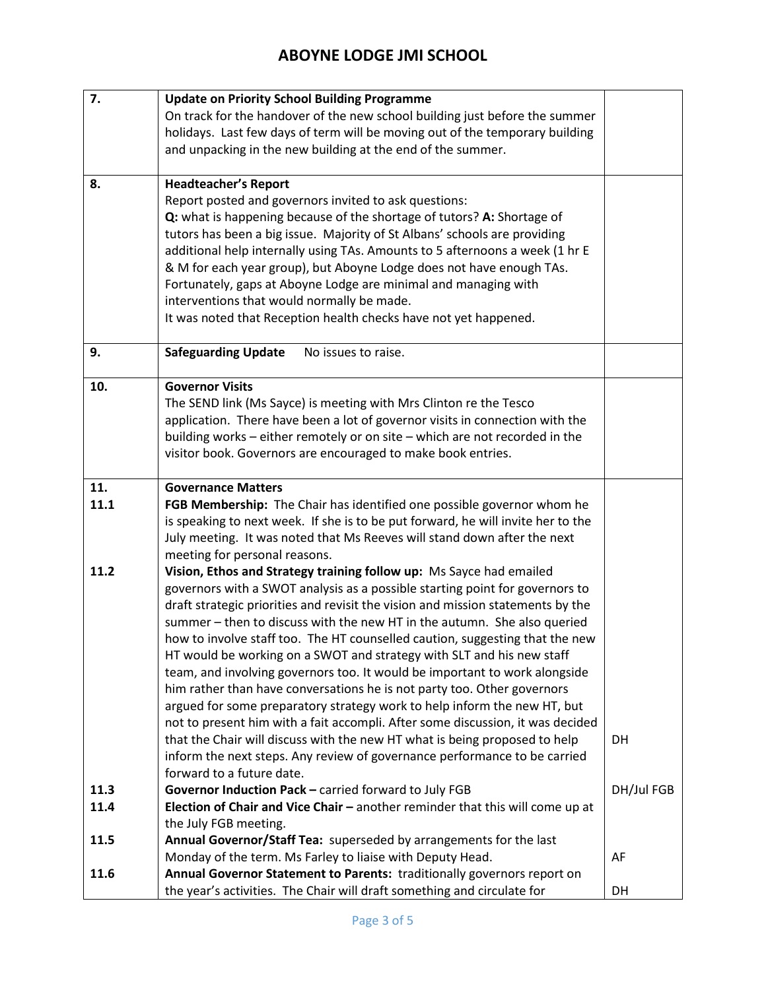| 7.   | <b>Update on Priority School Building Programme</b>                              |            |
|------|----------------------------------------------------------------------------------|------------|
|      | On track for the handover of the new school building just before the summer      |            |
|      | holidays. Last few days of term will be moving out of the temporary building     |            |
|      | and unpacking in the new building at the end of the summer.                      |            |
|      |                                                                                  |            |
| 8.   | <b>Headteacher's Report</b>                                                      |            |
|      | Report posted and governors invited to ask questions:                            |            |
|      | Q: what is happening because of the shortage of tutors? A: Shortage of           |            |
|      | tutors has been a big issue. Majority of St Albans' schools are providing        |            |
|      | additional help internally using TAs. Amounts to 5 afternoons a week (1 hr E     |            |
|      | & M for each year group), but Aboyne Lodge does not have enough TAs.             |            |
|      | Fortunately, gaps at Aboyne Lodge are minimal and managing with                  |            |
|      | interventions that would normally be made.                                       |            |
|      | It was noted that Reception health checks have not yet happened.                 |            |
|      |                                                                                  |            |
| 9.   | <b>Safeguarding Update</b><br>No issues to raise.                                |            |
|      |                                                                                  |            |
| 10.  | <b>Governor Visits</b>                                                           |            |
|      | The SEND link (Ms Sayce) is meeting with Mrs Clinton re the Tesco                |            |
|      | application. There have been a lot of governor visits in connection with the     |            |
|      | building works - either remotely or on site - which are not recorded in the      |            |
|      | visitor book. Governors are encouraged to make book entries.                     |            |
|      |                                                                                  |            |
| 11.  | <b>Governance Matters</b>                                                        |            |
| 11.1 | FGB Membership: The Chair has identified one possible governor whom he           |            |
|      | is speaking to next week. If she is to be put forward, he will invite her to the |            |
|      | July meeting. It was noted that Ms Reeves will stand down after the next         |            |
|      | meeting for personal reasons.                                                    |            |
| 11.2 | Vision, Ethos and Strategy training follow up: Ms Sayce had emailed              |            |
|      | governors with a SWOT analysis as a possible starting point for governors to     |            |
|      | draft strategic priorities and revisit the vision and mission statements by the  |            |
|      | summer - then to discuss with the new HT in the autumn. She also queried         |            |
|      | how to involve staff too. The HT counselled caution, suggesting that the new     |            |
|      | HT would be working on a SWOT and strategy with SLT and his new staff            |            |
|      | team, and involving governors too. It would be important to work alongside       |            |
|      | him rather than have conversations he is not party too. Other governors          |            |
|      | argued for some preparatory strategy work to help inform the new HT, but         |            |
|      | not to present him with a fait accompli. After some discussion, it was decided   |            |
|      | that the Chair will discuss with the new HT what is being proposed to help       | DH         |
|      | inform the next steps. Any review of governance performance to be carried        |            |
|      | forward to a future date.                                                        |            |
| 11.3 | Governor Induction Pack - carried forward to July FGB                            | DH/Jul FGB |
| 11.4 | Election of Chair and Vice Chair - another reminder that this will come up at    |            |
|      | the July FGB meeting.                                                            |            |
| 11.5 | Annual Governor/Staff Tea: superseded by arrangements for the last               |            |
|      | Monday of the term. Ms Farley to liaise with Deputy Head.                        | AF         |
| 11.6 | Annual Governor Statement to Parents: traditionally governors report on          |            |
|      | the year's activities. The Chair will draft something and circulate for          | DH         |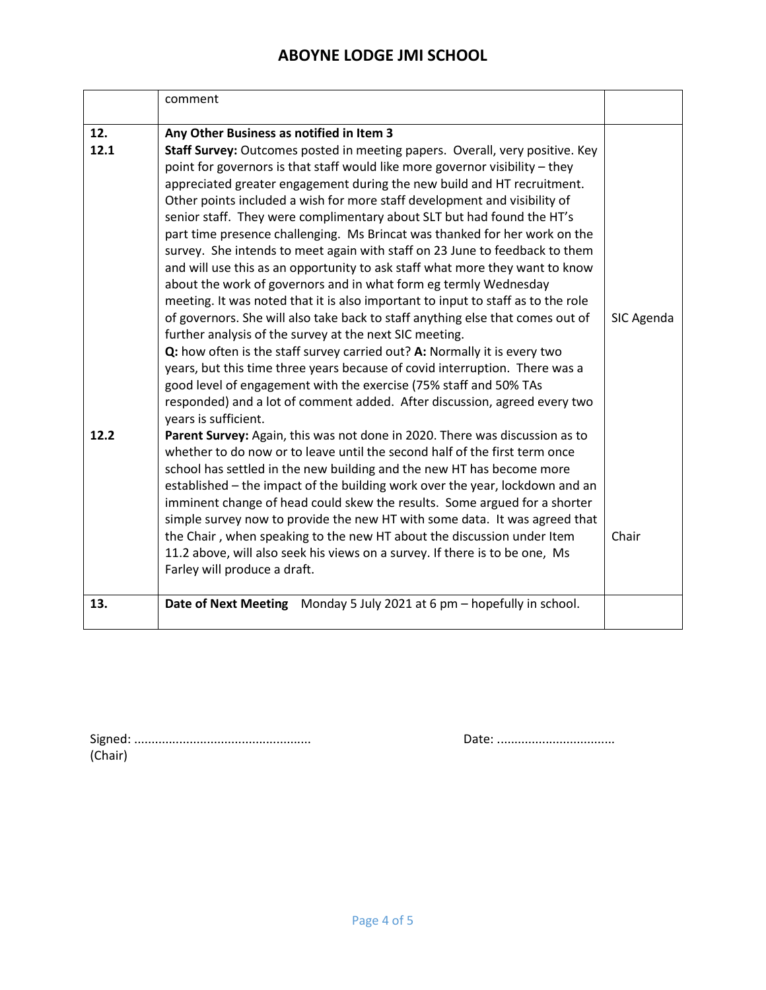|             | comment                                                                                                                                                                                                                                                                                                                                                                                                                                                                                                                                                                                                                                                                                                                                                                                                                                                                                                                                                                                                                                                                                                                                                                                                                                                                                                    |            |
|-------------|------------------------------------------------------------------------------------------------------------------------------------------------------------------------------------------------------------------------------------------------------------------------------------------------------------------------------------------------------------------------------------------------------------------------------------------------------------------------------------------------------------------------------------------------------------------------------------------------------------------------------------------------------------------------------------------------------------------------------------------------------------------------------------------------------------------------------------------------------------------------------------------------------------------------------------------------------------------------------------------------------------------------------------------------------------------------------------------------------------------------------------------------------------------------------------------------------------------------------------------------------------------------------------------------------------|------------|
| 12.<br>12.1 | Any Other Business as notified in Item 3<br>Staff Survey: Outcomes posted in meeting papers. Overall, very positive. Key<br>point for governors is that staff would like more governor visibility - they<br>appreciated greater engagement during the new build and HT recruitment.<br>Other points included a wish for more staff development and visibility of<br>senior staff. They were complimentary about SLT but had found the HT's<br>part time presence challenging. Ms Brincat was thanked for her work on the<br>survey. She intends to meet again with staff on 23 June to feedback to them<br>and will use this as an opportunity to ask staff what more they want to know<br>about the work of governors and in what form eg termly Wednesday<br>meeting. It was noted that it is also important to input to staff as to the role<br>of governors. She will also take back to staff anything else that comes out of<br>further analysis of the survey at the next SIC meeting.<br>Q: how often is the staff survey carried out? A: Normally it is every two<br>years, but this time three years because of covid interruption. There was a<br>good level of engagement with the exercise (75% staff and 50% TAs<br>responded) and a lot of comment added. After discussion, agreed every two | SIC Agenda |
| 12.2        | years is sufficient.<br>Parent Survey: Again, this was not done in 2020. There was discussion as to<br>whether to do now or to leave until the second half of the first term once<br>school has settled in the new building and the new HT has become more<br>established - the impact of the building work over the year, lockdown and an<br>imminent change of head could skew the results. Some argued for a shorter<br>simple survey now to provide the new HT with some data. It was agreed that<br>the Chair, when speaking to the new HT about the discussion under Item<br>11.2 above, will also seek his views on a survey. If there is to be one, Ms<br>Farley will produce a draft.                                                                                                                                                                                                                                                                                                                                                                                                                                                                                                                                                                                                             | Chair      |
| 13.         | Date of Next Meeting Monday 5 July 2021 at 6 pm - hopefully in school.                                                                                                                                                                                                                                                                                                                                                                                                                                                                                                                                                                                                                                                                                                                                                                                                                                                                                                                                                                                                                                                                                                                                                                                                                                     |            |

| (Chair) |  |  |  |
|---------|--|--|--|

Signed: ................................................... Date: ..................................